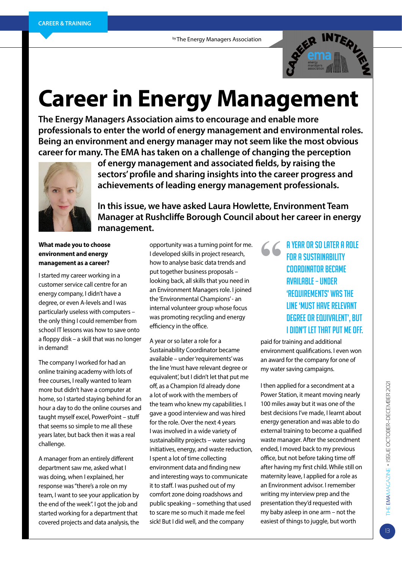by The Energy Managers Association



# **Career in Energy Management**

**The Energy Managers Association aims to encourage and enable more professionals to enter the world of energy management and environmental roles. Being an environment and energy manager may not seem like the most obvious career for many. The EMA has taken on a challenge of changing the perception** 



**of energy management and associated fields, by raising the sectors' profile and sharing insights into the career progress and achievements of leading energy management professionals.**

**In this issue, we have asked Laura Howlette, Environment Team Manager at Rushcliffe Borough Council about her career in energy management.**

#### **What made you to choose environment and energy management as a career?**

I started my career working in a customer service call centre for an energy company, I didn't have a degree, or even A-levels and I was particularly useless with computers – the only thing I could remember from school IT lessons was how to save onto a floppy disk – a skill that was no longer in demand!

The company I worked for had an online training academy with lots of free courses, I really wanted to learn more but didn't have a computer at home, so I started staying behind for an hour a day to do the online courses and taught myself excel, PowerPoint – stuff that seems so simple to me all these years later, but back then it was a real challenge.

A manager from an entirely different department saw me, asked what I was doing, when I explained, her response was "there's a role on my team, I want to see your application by the end of the week". I got the job and started working for a department that covered projects and data analysis, the

opportunity was a turning point for me. I developed skills in project research, how to analyse basic data trends and put together business proposals – looking back, all skills that you need in an Environment Managers role. I joined the 'Environmental Champions' - an internal volunteer group whose focus was promoting recycling and energy efficiency in the office.

A year or so later a role for a Sustainability Coordinator became available – under 'requirements' was the line 'must have relevant degree or equivalent', but I didn't let that put me off, as a Champion I'd already done a lot of work with the members of the team who knew my capabilities. I gave a good interview and was hired for the role. Over the next 4 years I was involved in a wide variety of sustainability projects – water saving initiatives, energy, and waste reduction, I spent a lot of time collecting environment data and finding new and interesting ways to communicate it to staff. I was pushed out of my comfort zone doing roadshows and public speaking – something that used to scare me so much it made me feel sick! But I did well, and the company

**"**A year or so later a role for a Sustainability Coordinator became available – under 'requirements' was the line 'must have relevant degree or equivalent', but I didn't let that put me off.

paid for training and additional environment qualifications. I even won an award for the company for one of my water saving campaigns.

I then applied for a secondment at a Power Station, it meant moving nearly 100 miles away but it was one of the best decisions I've made, I learnt about energy generation and was able to do external training to become a qualified waste manager. After the secondment ended, I moved back to my previous office, but not before taking time off after having my first child. While still on maternity leave, I applied for a role as an Environment advisor. I remember writing my interview prep and the presentation they'd requested with my baby asleep in one arm – not the easiest of things to juggle, but worth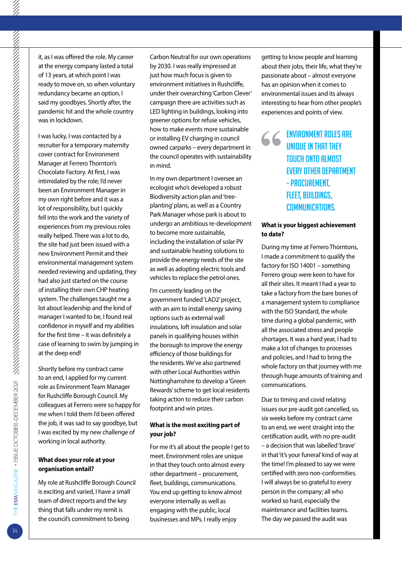it, as I was offered the role. My career at the energy company lasted a total of 13 years, at which point I was ready to move on, so when voluntary redundancy became an option, I said my goodbyes. Shortly after, the pandemic hit and the whole country was in lockdown.

I was lucky, I was contacted by a recruiter for a temporary maternity cover contract for Environment Manager at Ferrero Thornton's Chocolate Factory. At first, I was intimidated by the role; I'd never been an Environment Manager in my own right before and it was a lot of responsibility, but I quickly fell into the work and the variety of experiences from my previous roles really helped. There was a lot to do, the site had just been issued with a new Environment Permit and their environmental management system needed reviewing and updating, they had also just started on the course of installing their own CHP heating system. The challenges taught me a lot about leadership and the kind of manager I wanted to be, I found real confidence in myself and my abilities for the first time – it was definitely a case of learning to swim by jumping in at the deep end!

Shortly before my contract came to an end, I applied for my current role as Environment Team Manager for Rushcliffe Borough Council. My colleagues at Ferrero were so happy for me when I told them I'd been offered the job, it was sad to say goodbye, but I was excited by my new challenge of working in local authority.

#### **What does your role at your organisation entail?**

My role at Rushcliffe Borough Council is exciting and varied, I have a small team of direct reports and the key thing that falls under my remit is the council's commitment to being

Carbon Neutral for our own operations by 2030. I was really impressed at just how much focus is given to environment initiatives in Rushcliffe, under their overarching 'Carbon Clever' campaign there are activities such as LED lighting in buildings, looking into greener options for refuse vehicles, how to make events more sustainable or installing EV charging in council owned carparks – every department in the council operates with sustainability in mind.

In my own department I oversee an ecologist who's developed a robust Biodiversity action plan and 'treeplanting' plans, as well as a Country Park Manager whose park is about to undergo an ambitious re-development to become more sustainable, including the installation of solar PV and sustainable heating solutions to provide the energy needs of the site as well as adopting electric tools and vehicles to replace the petrol ones.

I'm currently leading on the government funded 'LAD2' project, with an aim to install energy saving options such as external wall insulations, loft insulation and solar panels in qualifying houses within the borough to improve the energy efficiency of those buildings for the residents. We've also partnered with other Local Authorities within Nottinghamshire to develop a 'Green Rewards' scheme to get local residents taking action to reduce their carbon footprint and win prizes.

#### **What is the most exciting part of your job?**

For me it's all about the people I get to meet. Environment roles are unique in that they touch onto almost every other department – procurement, fleet, buildings, communications. You end up getting to know almost everyone internally as well as engaging with the public, local businesses and MPs. I really enjoy

getting to know people and learning about their jobs, their life, what they're passionate about – almost everyone has an opinion when it comes to environmental issues and its always interesting to hear from other people's experiences and points of view.

# **66** ENVIRONMENT ROLES ARE<br>
UNIQUE IN THAT THEY<br>
TOUCH ONTO ALMOST<br>
FVERY OTHER DEPARTMEN unique in that they touch onto almost every other department – procurement, fleet, buildings, communications.

#### **What is your biggest achievement to date?**

During my time at Ferrero Thorntons, I made a commitment to qualify the factory for ISO 14001 – something Ferrero group were keen to have for all their sites. It meant I had a year to take a factory from the bare bones of a management system to compliance with the ISO Standard, the whole time during a global pandemic, with all the associated stress and people shortages. It was a hard year, I had to make a lot of changes to processes and policies, and I had to bring the whole factory on that journey with me through huge amounts of training and communications.

Due to timing and covid relating issues our pre-audit got cancelled, so, six weeks before my contract came to an end, we went straight into the certification audit, with no pre-audit – a decision that was labelled 'brave' in that 'it's your funeral' kind of way at the time! I'm pleased to say we were certified with zero non-conformities. I will always be so grateful to every person in the company; all who worked so hard, especially the maintenance and facilities teams. The day we passed the audit was